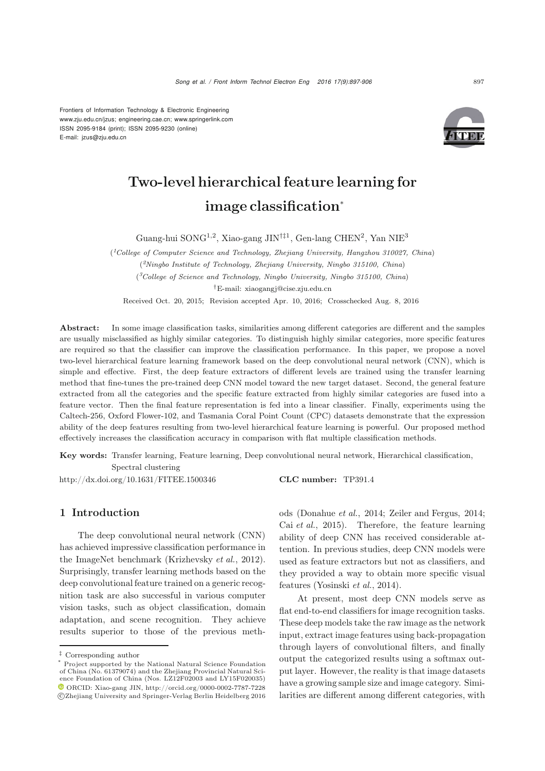Frontiers of Information Technology & Electronic Engineering www.zju.edu.cn/jzus; engineering.cae.cn; www.springerlink.com ISSN 2095-9184 (print); ISSN 2095-9230 (online) E-mail: jzus@zju.edu.cn



# Two-level hierarchical feature learning for image classification<sup>∗</sup>

Guang-hui SONG1,2, Xiao-gang JIN*†‡*<sup>1</sup>, Gen-lang CHEN<sup>2</sup>, Yan NIE<sup>3</sup>

(*1College of Computer Science and Technology, Zhejiang University, Hangzhou 310027, China*) (*2Ningbo Institute of Technology, Zhejiang University, Ningbo 315100, China*) (*3College of Science and Technology, Ningbo University, Ningbo 315100, China*)

*†*E-mail: xiaogangj@cise.zju.edu.cn

Received Oct. 20, 2015; Revision accepted Apr. 10, 2016; Crosschecked Aug. 8, 2016

Abstract: In some image classification tasks, similarities among different categories are different and the samples are usually misclassified as highly similar categories. To distinguish highly similar categories, more specific features are required so that the classifier can improve the classification performance. In this paper, we propose a novel two-level hierarchical feature learning framework based on the deep convolutional neural network (CNN), which is simple and effective. First, the deep feature extractors of different levels are trained using the transfer learning method that fine-tunes the pre-trained deep CNN model toward the new target dataset. Second, the general feature extracted from all the categories and the specific feature extracted from highly similar categories are fused into a feature vector. Then the final feature representation is fed into a linear classifier. Finally, experiments using the Caltech-256, Oxford Flower-102, and Tasmania Coral Point Count (CPC) datasets demonstrate that the expression ability of the deep features resulting from two-level hierarchical feature learning is powerful. Our proposed method effectively increases the classification accuracy in comparison with flat multiple classification methods.

Key words: Transfer learning, Feature learning, Deep convolutional neural network, Hierarchical classification, Spectral clustering

http://dx.doi.org/10.1631/FITEE.1500346 CLC number: TP391.4

## 1 Introduction

The deep convolutional neural network (CNN) has achieved impressive classification performance in the ImageNet benchmark [\(Krizhevsky](#page-9-0) *et al.*, [2012\)](#page-9-0). Surprisingly, transfer learning methods based on the deep convolutional feature trained on a generic recognition task are also successful in various computer vision tasks, such as object classification, domain adaptation, and scene recognition. They achieve results superior to those of the previous methods [\(Donahue](#page-9-1) *et al.*, [2014](#page-9-1); [Zeiler and Fergus](#page-9-2), [2014;](#page-9-2) Cai *[et al.](#page-9-3)*, [2015\)](#page-9-3). Therefore, the feature learning ability of deep CNN has received considerable attention. In previous studies, deep CNN models were used as feature extractors but not as classifiers, and they provided a way to obtain more specific visual features [\(Yosinski](#page-9-4) *et al.*, [2014](#page-9-4)).

At present, most deep CNN models serve as flat end-to-end classifiers for image recognition tasks. These deep models take the raw image as the network input, extract image features using back-propagation through layers of convolutional filters, and finally output the categorized results using a softmax output layer. However, the reality is that image datasets have a growing sample size and image category. Similarities are different among different categories, with

*<sup>‡</sup>* Corresponding author

<sup>\*</sup> Project supported by the National Natural Science Foundation of China (No. 61379074) and the Zhejiang Provincial Natural Science Foundation of China (Nos. LZ12F02003 and LY15F020035) ORCID: Xiao-gang JIN, http://orcid.org/0000-0002-7787-7228 c Zhejiang University and Springer-Verlag Berlin Heidelberg 2016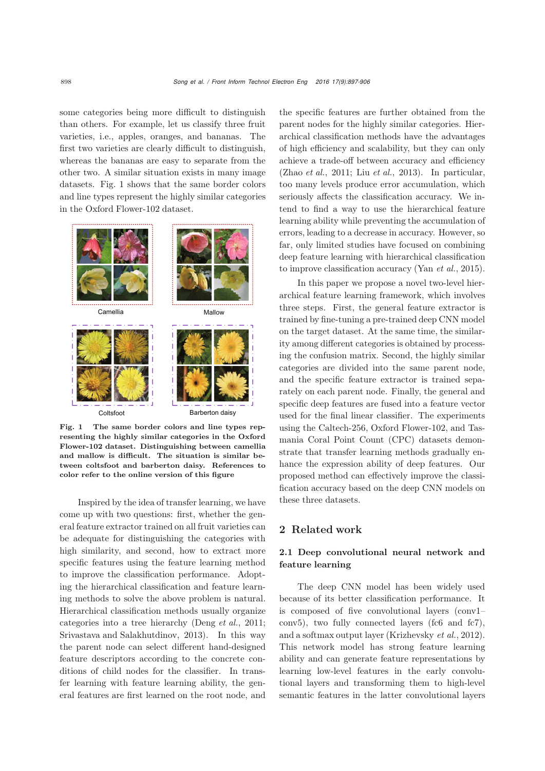some categories being more difficult to distinguish than others. For example, let us classify three fruit varieties, i.e., apples, oranges, and bananas. The first two varieties are clearly difficult to distinguish, whereas the bananas are easy to separate from the other two. A similar situation exists in many image datasets. Fig. 1 shows that the same border colors and line types represent the highly similar categories in the Oxford Flower-102 dataset.



Fig. 1 The same border colors and line types representing the highly similar categories in the Oxford Flower-102 dataset. Distinguishing between camellia and mallow is difficult. The situation is similar between coltsfoot and barberton daisy. References to color refer to the online version of this figure

Inspired by the idea of transfer learning, we have come up with two questions: first, whether the general feature extractor trained on all fruit varieties can be adequate for distinguishing the categories with high similarity, and second, how to extract more specific features using the feature learning method to improve the classification performance. Adopting the hierarchical classification and feature learning methods to solve the above problem is natural. Hierarchical classification methods usually organize categories into a tree hierarchy [\(Deng](#page-9-5) *et al.*, [2011;](#page-9-5) [Srivastava and Salakhutdinov](#page-9-6), [2013](#page-9-6)). In this way the parent node can select different hand-designed feature descriptors according to the concrete conditions of child nodes for the classifier. In transfer learning with feature learning ability, the general features are first learned on the root node, and

the specific features are further obtained from the parent nodes for the highly similar categories. Hierarchical classification methods have the advantages of high efficiency and scalability, but they can only achieve a trade-off between accuracy and efficiency [\(Zhao](#page-9-7) *et al.*, [2011;](#page-9-7) Liu *[et al.](#page-9-8)*, [2013\)](#page-9-8). In particular, too many levels produce error accumulation, which seriously affects the classification accuracy. We intend to find a way to use the hierarchical feature learning ability while preventing the accumulation of errors, leading to a decrease in accuracy. However, so far, only limited studies have focused on combining deep feature learning with hierarchical classification to improve classification accuracy (Yan *[et al.](#page-9-9)*, [2015\)](#page-9-9).

In this paper we propose a novel two-level hierarchical feature learning framework, which involves three steps. First, the general feature extractor is trained by fine-tuning a pre-trained deep CNN model on the target dataset. At the same time, the similarity among different categories is obtained by processing the confusion matrix. Second, the highly similar categories are divided into the same parent node, and the specific feature extractor is trained separately on each parent node. Finally, the general and specific deep features are fused into a feature vector used for the final linear classifier. The experiments using the Caltech-256, Oxford Flower-102, and Tasmania Coral Point Count (CPC) datasets demonstrate that transfer learning methods gradually enhance the expression ability of deep features. Our proposed method can effectively improve the classification accuracy based on the deep CNN models on these three datasets.

## 2 Related work

# 2.1 Deep convolutional neural network and feature learning

The deep CNN model has been widely used because of its better classification performance. It is composed of five convolutional layers (conv1– conv5), two fully connected layers (fc6 and fc7), and a softmax output layer [\(Krizhevsky](#page-9-0) *et al.*, [2012\)](#page-9-0). This network model has strong feature learning ability and can generate feature representations by learning low-level features in the early convolutional layers and transforming them to high-level semantic features in the latter convolutional layers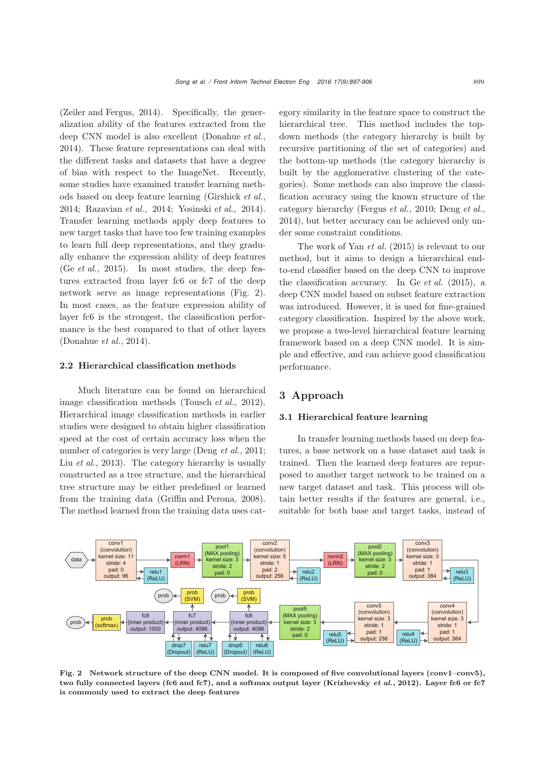[\(Zeiler and Fergus, 2014\)](#page-9-2). Specifically, the generalization ability of the features extracted from the deep CNN model is also excellent [\(Donahue](#page-9-1) *et al.*, [2014](#page-9-1)). These feature representations can deal with the different tasks and datasets that have a degree of bias with respect to the ImageNet. Recently, some studies have examined transfer learning methods based on deep feature learning [\(Girshick](#page-9-10) *et al.*, [2014](#page-9-10); [Razavian](#page-9-11) *et al.*, [2014;](#page-9-11) [Yosinski](#page-9-4) *et al.*, [2014\)](#page-9-4). Transfer learning methods apply deep features to new target tasks that have too few training examples to learn full deep representations, and they gradually enhance the expression ability of deep features (Ge *[et al.](#page-9-12)*, [2015\)](#page-9-12). In most studies, the deep features extracted from layer fc6 or fc7 of the deep network serve as image representations (Fig. 2). In most cases, as the feature expression ability of layer fc6 is the strongest, the classification performance is the best compared to that of other layers [\(Donahue](#page-9-1) *et al.*, [2014\)](#page-9-1).

## 2.2 Hierarchical classification methods

Much literature can be found on hierarchical image classification methods [\(Tousch](#page-9-13) *et al.*, [2012\)](#page-9-13). Hierarchical image classification methods in earlier studies were designed to obtain higher classification speed at the cost of certain accuracy loss when the number of categories is very large [\(Deng](#page-9-5) *et al.*, [2011;](#page-9-5) Liu *[et al.](#page-9-8)*, [2013\)](#page-9-8). The category hierarchy is usually constructed as a tree structure, and the hierarchical tree structure may be either predefined or learned from the training data [\(Griffin and Perona](#page-9-14), [2008\)](#page-9-14). The method learned from the training data uses category similarity in the feature space to construct the hierarchical tree. This method includes the topdown methods (the category hierarchy is built by recursive partitioning of the set of categories) and the bottom-up methods (the category hierarchy is built by the agglomerative clustering of the categories). Some methods can also improve the classification accuracy using the known structure of the category hierarchy [\(Fergus](#page-9-15) *et al.*, [2010;](#page-9-15) [Deng](#page-9-16) *et al.*, [2014](#page-9-16)), but better accuracy can be achieved only under some constraint conditions.

The work of Yan *[et al.](#page-9-9)* [\(2015\)](#page-9-9) is relevant to our method, but it aims to design a hierarchical endto-end classifier based on the deep CNN to improve the classification accuracy. In Ge *[et al.](#page-9-12)* [\(2015](#page-9-12)), a deep CNN model based on subset feature extraction was introduced. However, it is used for fine-grained category classification. Inspired by the above work, we propose a two-level hierarchical feature learning framework based on a deep CNN model. It is simple and effective, and can achieve good classification performance.

# 3 Approach

## 3.1 Hierarchical feature learning

In transfer learning methods based on deep features, a base network on a base dataset and task is trained. Then the learned deep features are repurposed to another target network to be trained on a new target dataset and task. This process will obtain better results if the features are general, i.e., suitable for both base and target tasks, instead of



Fig. 2 Network structure of the deep CNN model. It is composed of five convolutional layers (conv1–conv5), two fully connected layers (fc6 and fc7), and a softmax output layer [\(Krizhevsky](#page-9-0) *et al.*, [2012](#page-9-0)). Layer fc6 or fc7 is commonly used to extract the deep features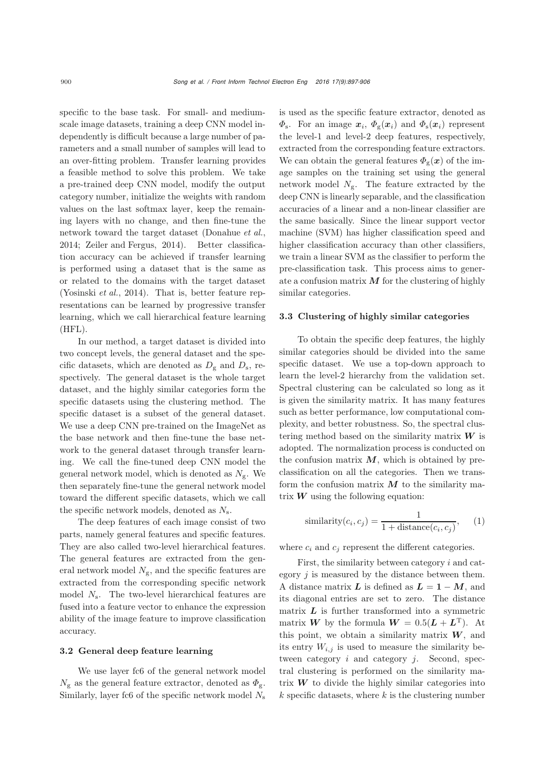specific to the base task. For small- and mediumscale image datasets, training a deep CNN model independently is difficult because a large number of parameters and a small number of samples will lead to an over-fitting problem. Transfer learning provides a feasible method to solve this problem. We take a pre-trained deep CNN model, modify the output category number, initialize the weights with random values on the last softmax layer, keep the remaining layers with no change, and then fine-tune the network toward the target dataset [\(Donahue](#page-9-1) *et al.*, [2014](#page-9-1); [Zeiler and Fergus, 2014\)](#page-9-2). Better classification accuracy can be achieved if transfer learning is performed using a dataset that is the same as or related to the domains with the target dataset [\(Yosinski](#page-9-4) *et al.*, [2014\)](#page-9-4). That is, better feature representations can be learned by progressive transfer learning, which we call hierarchical feature learning (HFL).

In our method, a target dataset is divided into two concept levels, the general dataset and the specific datasets, which are denoted as  $D_g$  and  $D_s$ , respectively. The general dataset is the whole target dataset, and the highly similar categories form the specific datasets using the clustering method. The specific dataset is a subset of the general dataset. We use a deep CNN pre-trained on the ImageNet as the base network and then fine-tune the base network to the general dataset through transfer learning. We call the fine-tuned deep CNN model the general network model, which is denoted as  $N_{\rm g}$ . We then separately fine-tune the general network model toward the different specific datasets, which we call the specific network models, denoted as  $N_s$ .

The deep features of each image consist of two parts, namely general features and specific features. They are also called two-level hierarchical features. The general features are extracted from the general network model  $N_{\rm g}$ , and the specific features are extracted from the corresponding specific network model  $N_s$ . The two-level hierarchical features are fused into a feature vector to enhance the expression ability of the image feature to improve classification accuracy.

#### 3.2 General deep feature learning

We use layer fc6 of the general network model  $N_{\rm g}$  as the general feature extractor, denoted as  $\Phi_{\rm g}$ . Similarly, layer fc6 of the specific network model  $N<sub>s</sub>$ 

is used as the specific feature extractor, denoted as  $\Phi_{\rm s}$ . For an image  $x_i$ ,  $\Phi_{\rm g}(x_i)$  and  $\Phi_{\rm s}(x_i)$  represent the level-1 and level-2 deep features, respectively, extracted from the corresponding feature extractors. We can obtain the general features  $\Phi_{g}(x)$  of the image samples on the training set using the general network model  $N_{\rm g}$ . The feature extracted by the deep CNN is linearly separable, and the classification accuracies of a linear and a non-linear classifier are the same basically. Since the linear support vector machine (SVM) has higher classification speed and higher classification accuracy than other classifiers, we train a linear SVM as the classifier to perform the pre-classification task. This process aims to generate a confusion matrix *M* for the clustering of highly similar categories.

#### 3.3 Clustering of highly similar categories

To obtain the specific deep features, the highly similar categories should be divided into the same specific dataset. We use a top-down approach to learn the level-2 hierarchy from the validation set. Spectral clustering can be calculated so long as it is given the similarity matrix. It has many features such as better performance, low computational complexity, and better robustness. So, the spectral clustering method based on the similarity matrix *W* is adopted. The normalization process is conducted on the confusion matrix  $M$ , which is obtained by preclassification on all the categories. Then we transform the confusion matrix  $M$  to the similarity matrix  $W$  using the following equation:

similarity
$$
(c_i, c_j)
$$
 =  $\frac{1}{1 + \text{distance}(c_i, c_j)}$ , (1)

where  $c_i$  and  $c_j$  represent the different categories.

First, the similarity between category i and category  $j$  is measured by the distance between them. A distance matrix  $\boldsymbol{L}$  is defined as  $\boldsymbol{L} = 1 - \boldsymbol{M}$ , and its diagonal entries are set to zero. The distance matrix  $L$  is further transformed into a symmetric matrix *W* by the formula  $W = 0.5(L + L^T)$ . At this point, we obtain a similarity matrix  $W$ , and its entry  $W_{i,j}$  is used to measure the similarity between category  $i$  and category  $j$ . Second, spectral clustering is performed on the similarity matrix  $W$  to divide the highly similar categories into  $k$  specific datasets, where  $k$  is the clustering number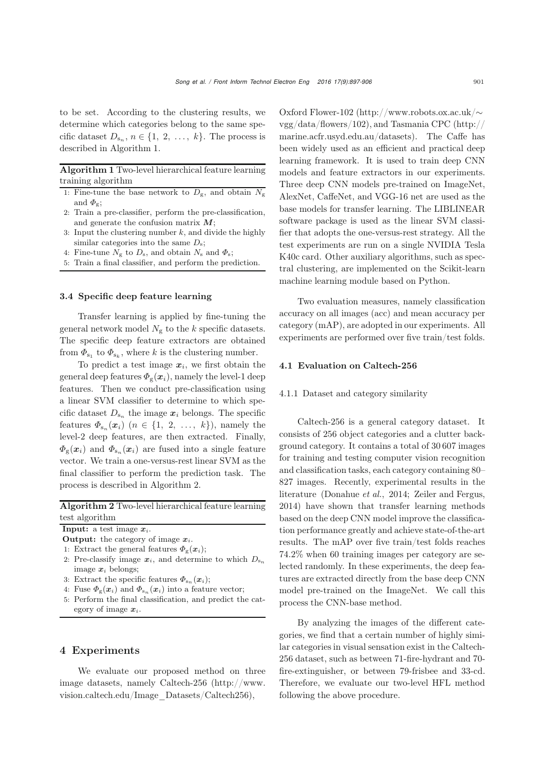to be set. According to the clustering results, we determine which categories belong to the same specific dataset  $D_{s_n}$ ,  $n \in \{1, 2, ..., k\}$ . The process is described in Algorithm 1.

Algorithm 1 Two-level hierarchical feature learning training algorithm

- 1: Fine-tune the base network to  $D_{\rm g}$ , and obtain  $N_{\rm g}$ and  $\Phi_{\sigma}$ :
- 2: Train a pre-classifier, perform the pre-classification, and generate the confusion matrix *M*;
- 3: Input the clustering number  $k$ , and divide the highly similar categories into the same  $D_s$ ;
- 4: Fine-tune  $N_{\rm g}$  to  $D_{\rm s}$ , and obtain  $N_{\rm s}$  and  $\Phi_{\rm s}$ ;
- 5: Train a final classifier, and perform the prediction.

#### 3.4 Specific deep feature learning

Transfer learning is applied by fine-tuning the general network model  $N_{\rm g}$  to the k specific datasets. The specific deep feature extractors are obtained from  $\Phi_{s_1}$  to  $\Phi_{s_k}$ , where k is the clustering number.

To predict a test image  $x_i$ , we first obtain the general deep features  $\Phi_{\rm g}(\mathbf{x}_i)$ , namely the level-1 deep features. Then we conduct pre-classification using a linear SVM classifier to determine to which specific dataset  $D_{s_n}$  the image  $x_i$  belongs. The specific features  $\Phi_{s_n}(\boldsymbol{x}_i)$   $(n \in \{1, 2, ..., k\})$ , namely the level-2 deep features, are then extracted. Finally,  $\Phi_{g}(x_i)$  and  $\Phi_{s_n}(x_i)$  are fused into a single feature vector. We train a one-versus-rest linear SVM as the final classifier to perform the prediction task. The process is described in Algorithm 2.

Algorithm 2 Two-level hierarchical feature learning test algorithm

Input: a test image *xi*.

- Output: the category of image *xi*.
- 1: Extract the general features  $\Phi_{g}(x_i)$ ;
- 2: Pre-classify image  $x_i$ , and determine to which  $D_{s_n}$ image *x<sup>i</sup>* belongs;
- 3: Extract the specific features  $\Phi_{s_n}(x_i)$ ;
- 4: Fuse  $\Phi_{g}(x_i)$  and  $\Phi_{s_n}(x_i)$  into a feature vector;
- 5: Perform the final classification, and predict the category of image *xi*.

# 4 Experiments

We evaluate our proposed method on three image datasets, namely Caltech-256 (http://www. vision.caltech.edu/Image\_Datasets/Caltech256),

Oxford Flower-102 (http://www.robots.ox.ac.uk/∼ vgg/data/flowers/102), and Tasmania CPC (http:// marine.acfr.usyd.edu.au/datasets). The Caffe has been widely used as an efficient and practical deep learning framework. It is used to train deep CNN models and feature extractors in our experiments. Three deep CNN models pre-trained on ImageNet, AlexNet, CaffeNet, and VGG-16 net are used as the base models for transfer learning. The LIBLINEAR software package is used as the linear SVM classifier that adopts the one-versus-rest strategy. All the test experiments are run on a single NVIDIA Tesla K40c card. Other auxiliary algorithms, such as spectral clustering, are implemented on the Scikit-learn machine learning module based on Python.

Two evaluation measures, namely classification accuracy on all images (acc) and mean accuracy per category (mAP), are adopted in our experiments. All experiments are performed over five train/test folds.

## 4.1 Evaluation on Caltech-256

#### 4.1.1 Dataset and category similarity

Caltech-256 is a general category dataset. It consists of 256 object categories and a clutter background category. It contains a total of 30 607 images for training and testing computer vision recognition and classification tasks, each category containing 80– 827 images. Recently, experimental results in the literature [\(Donahue](#page-9-1) *et al.*, [2014;](#page-9-1) [Zeiler and Fergus](#page-9-2), [2014](#page-9-2)) have shown that transfer learning methods based on the deep CNN model improve the classification performance greatly and achieve state-of-the-art results. The mAP over five train/test folds reaches 74.2% when 60 training images per category are selected randomly. In these experiments, the deep features are extracted directly from the base deep CNN model pre-trained on the ImageNet. We call this process the CNN-base method.

By analyzing the images of the different categories, we find that a certain number of highly similar categories in visual sensation exist in the Caltech-256 dataset, such as between 71-fire-hydrant and 70 fire-extinguisher, or between 79-frisbee and 33-cd. Therefore, we evaluate our two-level HFL method following the above procedure.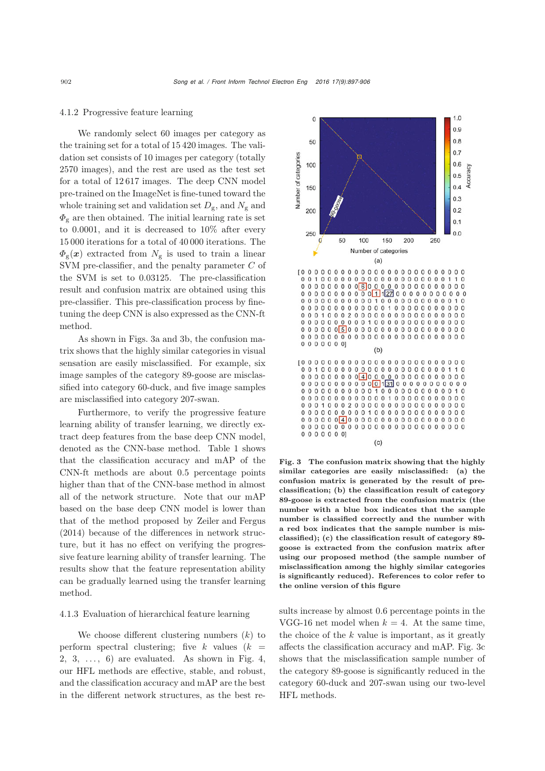#### 4.1.2 Progressive feature learning

We randomly select 60 images per category as the training set for a total of 15 420 images. The validation set consists of 10 images per category (totally 2570 images), and the rest are used as the test set for a total of 12 617 images. The deep CNN model pre-trained on the ImageNet is fine-tuned toward the whole training set and validation set  $D_{\rm g}$ , and  $N_{\rm g}$  and  $\Phi_{g}$  are then obtained. The initial learning rate is set to 0.0001, and it is decreased to 10% after every 15 000 iterations for a total of 40 000 iterations. The  $\Phi_{\rm g}(\boldsymbol{x})$  extracted from  $N_{\rm g}$  is used to train a linear SVM pre-classifier, and the penalty parameter C of the SVM is set to 0.03125. The pre-classification result and confusion matrix are obtained using this pre-classifier. This pre-classification process by finetuning the deep CNN is also expressed as the CNN-ft method.

As shown in Figs. 3a and 3b, the confusion matrix shows that the highly similar categories in visual sensation are easily misclassified. For example, six image samples of the category 89-goose are misclassified into category 60-duck, and five image samples are misclassified into category 207-swan.

Furthermore, to verify the progressive feature learning ability of transfer learning, we directly extract deep features from the base deep CNN model, denoted as the CNN-base method. Table 1 shows that the classification accuracy and mAP of the CNN-ft methods are about 0.5 percentage points higher than that of the CNN-base method in almost all of the network structure. Note that our mAP based on the base deep CNN model is lower than that of the method proposed by [Zeiler and Fergus](#page-9-2) [\(2014](#page-9-2)) because of the differences in network structure, but it has no effect on verifying the progressive feature learning ability of transfer learning. The results show that the feature representation ability can be gradually learned using the transfer learning method.

## 4.1.3 Evaluation of hierarchical feature learning

We choose different clustering numbers  $(k)$  to perform spectral clustering; five k values  $(k =$ 2, 3,  $\ldots$ , 6) are evaluated. As shown in Fig. 4, our HFL methods are effective, stable, and robust, and the classification accuracy and mAP are the best in the different network structures, as the best re-



Fig. 3 The confusion matrix showing that the highly similar categories are easily misclassified: (a) the confusion matrix is generated by the result of preclassification; (b) the classification result of category 89-goose is extracted from the confusion matrix (the number with a blue box indicates that the sample number is classified correctly and the number with a red box indicates that the sample number is misclassified); (c) the classification result of category 89 goose is extracted from the confusion matrix after using our proposed method (the sample number of misclassification among the highly similar categories is significantly reduced). References to color refer to the online version of this figure

sults increase by almost 0.6 percentage points in the VGG-16 net model when  $k = 4$ . At the same time, the choice of the  $k$  value is important, as it greatly affects the classification accuracy and mAP. Fig. 3c shows that the misclassification sample number of the category 89-goose is significantly reduced in the category 60-duck and 207-swan using our two-level HFL methods.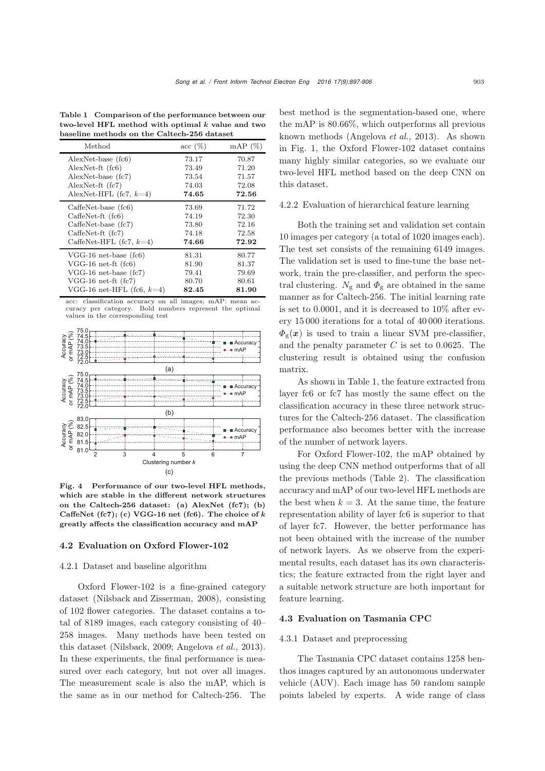Table 1 Comparison of the performance between our two-level HFL method with optimal *k* value and two baseline methods on the Caltech-256 dataset

| Method                       | $\csc(%)$ | $\text{mAP}$ (%) |
|------------------------------|-----------|------------------|
| $AlexNet-base (fc6)$         | 73.17     | 70.87            |
| $AlexNet-ft(fc6)$            | 73.49     | 71.20            |
| $AlexNet-base (fc7)$         | 73.54     | 71.57            |
| $AlexNet-ft(fc7)$            | 74.03     | 72.08            |
| AlexNet-HFL $(fc7, k=4)$     | 74.65     | 72.56            |
| $CaffeNet-base (fc6)$        | 73.69     | 71.72            |
| $CaffenSet-ft$ (fc6)         | 74.19     | 72.30            |
| $CaffeNet-base (fc7)$        | 73.80     | 72.16            |
| $CaffenSet-ft$ (fc7)         | 74.18     | 72.58            |
| CaffeNet-HFL (fc7, $k=4$ )   | 74.66     | 72.92            |
| $VGG-16$ net-base (fc6)      | 81.31     | 80.77            |
| $VGG-16$ net-ft $(fc6)$      | 81.90     | 81.37            |
| $VGG-16$ net-base $f(c7)$    | 79.41     | 79.69            |
| $VGG-16$ net-ft $f(c7)$      | 80.70     | 80.61            |
| VGG-16 net-HFL (fc6, $k=4$ ) | 82.45     | 81.90            |

acc: classification accuracy on all images; mAP: mean accuracy per category. Bold numbers represent the optimal values in the corresponding test



Fig. 4 Performance of our two-level HFL methods, which are stable in the different network structures on the Caltech-256 dataset: (a) AlexNet (fc7); (b) CaffeNet (fc7); (c) VGG-16 net (fc6). The choice of *k* greatly affects the classification accuracy and mAP

#### 4.2 Evaluation on Oxford Flower-102

## 4.2.1 Dataset and baseline algorithm

Oxford Flower-102 is a fine-grained category dataset [\(Nilsback and Zisserman](#page-9-17), [2008\)](#page-9-17), consisting of 102 flower categories. The dataset contains a total of 8189 images, each category consisting of 40– 258 images. Many methods have been tested on this dataset [\(Nilsback, 2009;](#page-9-18) [Angelova](#page-9-19) *et al.*, [2013\)](#page-9-19). In these experiments, the final performance is measured over each category, but not over all images. The measurement scale is also the mAP, which is the same as in our method for Caltech-256. The

best method is the segmentation-based one, where the mAP is 80.66%, which outperforms all previous known methods [\(Angelova](#page-9-19) *et al.*, [2013\)](#page-9-19). As shown in Fig. 1, the Oxford Flower-102 dataset contains many highly similar categories, so we evaluate our two-level HFL method based on the deep CNN on this dataset.

#### 4.2.2 Evaluation of hierarchical feature learning

Both the training set and validation set contain 10 images per category (a total of 1020 images each). The test set consists of the remaining 6149 images. The validation set is used to fine-tune the base network, train the pre-classifier, and perform the spectral clustering.  $N_{\rm g}$  and  $\Phi_{\rm g}$  are obtained in the same manner as for Caltech-256. The initial learning rate is set to 0.0001, and it is decreased to 10% after every 15 000 iterations for a total of 40 000 iterations.  $\Phi_{g}(x)$  is used to train a linear SVM pre-classifier, and the penalty parameter  $C$  is set to 0.0625. The clustering result is obtained using the confusion matrix.

As shown in Table 1, the feature extracted from layer fc6 or fc7 has mostly the same effect on the classification accuracy in these three network structures for the Caltech-256 dataset. The classification performance also becomes better with the increase of the number of network layers.

For Oxford Flower-102, the mAP obtained by using the deep CNN method outperforms that of all the previous methods (Table 2). The classification accuracy and mAP of our two-level HFL methods are the best when  $k = 3$ . At the same time, the feature representation ability of layer fc6 is superior to that of layer fc7. However, the better performance has not been obtained with the increase of the number of network layers. As we observe from the experimental results, each dataset has its own characteristics; the feature extracted from the right layer and a suitable network structure are both important for feature learning.

#### 4.3 Evaluation on Tasmania CPC

#### 4.3.1 Dataset and preprocessing

The Tasmania CPC dataset contains 1258 benthos images captured by an autonomous underwater vehicle (AUV). Each image has 50 random sample points labeled by experts. A wide range of class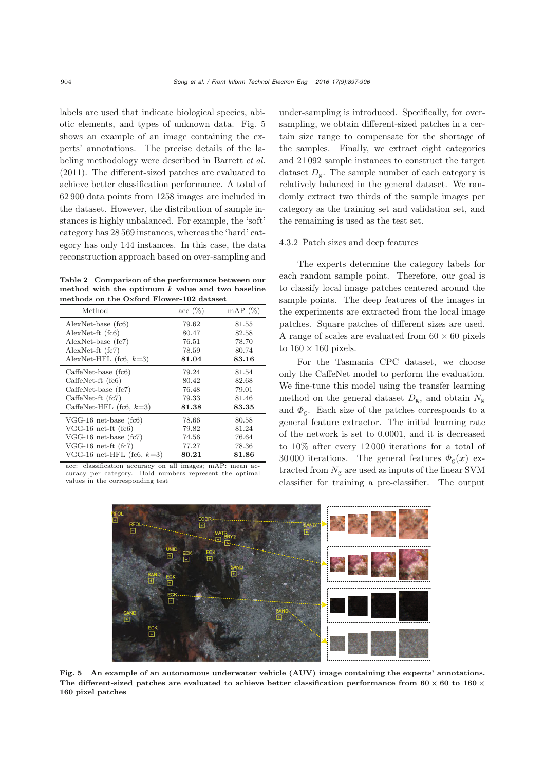labels are used that indicate biological species, abiotic elements, and types of unknown data. Fig. 5 shows an example of an image containing the experts' annotations. The precise details of the labeling methodology were described in [Barrett](#page-9-20) *et al.* [\(2011\)](#page-9-20). The different-sized patches are evaluated to achieve better classification performance. A total of 62 900 data points from 1258 images are included in the dataset. However, the distribution of sample instances is highly unbalanced. For example, the 'soft' category has 28 569 instances, whereas the 'hard' category has only 144 instances. In this case, the data reconstruction approach based on over-sampling and

Table 2 Comparison of the performance between our method with the optimum *k* value and two baseline methods on the Oxford Flower-102 dataset

| Method                       | acc(%) | $mAP(\%)$ |
|------------------------------|--------|-----------|
| AlexNet-base (fc6)           | 79.62  | 81.55     |
| $AlexNet-ft$ (fc6)           | 80.47  | 82.58     |
| $AlexNet-base (fc7)$         | 76.51  | 78.70     |
| $AlexNet-ft$ (fc7)           | 78.59  | 80.74     |
| AlexNet-HFL (fc6, $k=3$ )    | 81.04  | 83.16     |
| $CaffeNet-base (fc6)$        | 79.24  | 81.54     |
| $CaffenSet-ft$ (fc6)         | 80.42  | 82.68     |
| $CaffeNet-base (fc7)$        | 76.48  | 79.01     |
| $CaffeNet-ft$ (fc7)          | 79.33  | 81.46     |
| CaffeNet-HFL (fc6, $k=3$ )   | 81.38  | 83.35     |
| $VGG-16$ net-base (fc6)      | 78.66  | 80.58     |
| $VGG-16$ net-ft $(fc6)$      | 79.82  | 81.24     |
| $VGG-16$ net-base $f(c7)$    | 74.56  | 76.64     |
| $VGG-16$ net-ft $f(c7)$      | 77.27  | 78.36     |
| VGG-16 net-HFL (fc6, $k=3$ ) | 80.21  | 81.86     |

acc: classification accuracy on all images; mAP: mean accuracy per category. Bold numbers represent the optimal values in the corresponding test

under-sampling is introduced. Specifically, for oversampling, we obtain different-sized patches in a certain size range to compensate for the shortage of the samples. Finally, we extract eight categories and 21 092 sample instances to construct the target dataset  $D_{\rm g}$ . The sample number of each category is relatively balanced in the general dataset. We randomly extract two thirds of the sample images per category as the training set and validation set, and the remaining is used as the test set.

#### 4.3.2 Patch sizes and deep features

The experts determine the category labels for each random sample point. Therefore, our goal is to classify local image patches centered around the sample points. The deep features of the images in the experiments are extracted from the local image patches. Square patches of different sizes are used. A range of scales are evaluated from  $60 \times 60$  pixels to  $160 \times 160$  pixels.

For the Tasmania CPC dataset, we choose only the CaffeNet model to perform the evaluation. We fine-tune this model using the transfer learning method on the general dataset  $D_{\rm g}$ , and obtain  $N_{\rm g}$ and  $\Phi_{\rm g}$ . Each size of the patches corresponds to a general feature extractor. The initial learning rate of the network is set to 0.0001, and it is decreased to 10% after every 12 000 iterations for a total of 30 000 iterations. The general features  $\Phi_{\rm g}(x)$  extracted from  $N_{\rm g}$  are used as inputs of the linear SVM classifier for training a pre-classifier. The output



Fig. 5 An example of an autonomous underwater vehicle (AUV) image containing the experts' annotations. The different-sized patches are evaluated to achieve better classification performance from **60** *×* **60** to **160** *×* **160** pixel patches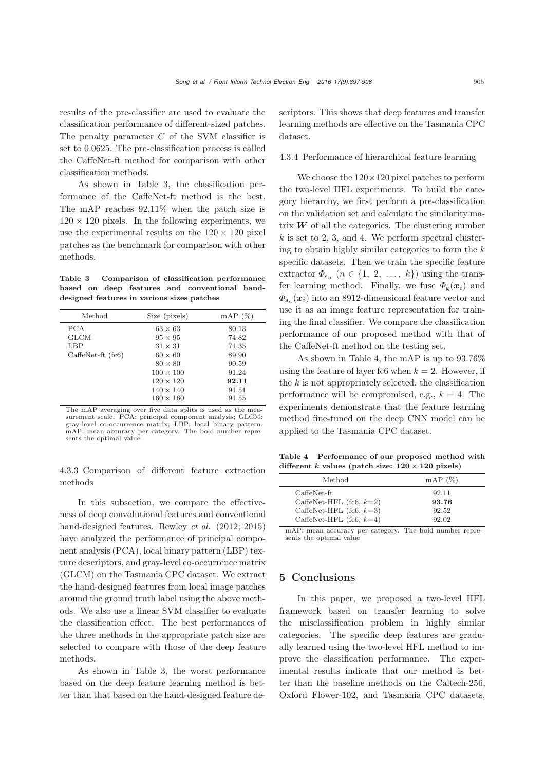results of the pre-classifier are used to evaluate the classification performance of different-sized patches. The penalty parameter  $C$  of the SVM classifier is set to 0.0625. The pre-classification process is called the CaffeNet-ft method for comparison with other classification methods.

As shown in Table 3, the classification performance of the CaffeNet-ft method is the best. The mAP reaches 92.11% when the patch size is  $120 \times 120$  pixels. In the following experiments, we use the experimental results on the  $120 \times 120$  pixel patches as the benchmark for comparison with other methods.

Table 3 Comparison of classification performance based on deep features and conventional handdesigned features in various sizes patches

| Method                                            | Size (pixels)                                                                                              | $mAP(\%)$                                          |
|---------------------------------------------------|------------------------------------------------------------------------------------------------------------|----------------------------------------------------|
| <b>PCA</b><br>GLCM<br>LBP<br>$CaffenSet-ft$ (fc6) | $63 \times 63$<br>$95 \times 95$<br>$31 \times 31$<br>$60 \times 60$<br>$80 \times 80$<br>$100 \times 100$ | 80.13<br>74.82<br>71.35<br>89.90<br>90.59<br>91.24 |
|                                                   | $120 \times 120$<br>$140 \times 140$<br>$160 \times 160$                                                   | 92.11<br>91.51<br>91.55                            |

The mAP averaging over five data splits is used as the mea-surement scale. PCA: principal component analysis; GLCM: gray-level co-occurrence matrix; LBP: local binary pattern. mAP: mean accuracy per category. The bold number represents the optimal value

4.3.3 Comparison of different feature extraction methods

In this subsection, we compare the effectiveness of deep convolutional features and conventional hand-designed features. Bewley *et al.* (2012; 2015) have analyzed the performance of principal component analysis (PCA), local binary pattern (LBP) texture descriptors, and gray-level co-occurrence matrix (GLCM) on the Tasmania CPC dataset. We extract the hand-designed features from local image patches around the ground truth label using the above methods. We also use a linear SVM classifier to evaluate the classification effect. The best performances of the three methods in the appropriate patch size are selected to compare with those of the deep feature methods.

As shown in Table 3, the worst performance based on the deep feature learning method is better than that based on the hand-designed feature descriptors. This shows that deep features and transfer learning methods are effective on the Tasmania CPC dataset.

#### 4.3.4 Performance of hierarchical feature learning

We choose the  $120\times120$  pixel patches to perform the two-level HFL experiments. To build the category hierarchy, we first perform a pre-classification on the validation set and calculate the similarity matrix  $W$  of all the categories. The clustering number  $k$  is set to 2, 3, and 4. We perform spectral clustering to obtain highly similar categories to form the  $k$ specific datasets. Then we train the specific feature extractor  $\Phi_{s_n}$   $(n \in \{1, 2, ..., k\})$  using the transfer learning method. Finally, we fuse  $\Phi_{g}(x_i)$  and  $\Phi_{s_n}(\mathbf{x}_i)$  into an 8912-dimensional feature vector and use it as an image feature representation for training the final classifier. We compare the classification performance of our proposed method with that of the CaffeNet-ft method on the testing set.

As shown in Table 4, the mAP is up to 93.76% using the feature of layer fc6 when  $k = 2$ . However, if the  $k$  is not appropriately selected, the classification performance will be compromised, e.g.,  $k = 4$ . The experiments demonstrate that the feature learning method fine-tuned on the deep CNN model can be applied to the Tasmania CPC dataset.

Table 4 Performance of our proposed method with different *k* values (patch size:  $120 \times 120$  pixels)

| Method                     | mAP(%) |
|----------------------------|--------|
| CaffeNet-ft                | 92.11  |
| CaffeNet-HFL (fc6, $k=2$ ) | 93.76  |
| CaffeNet-HFL (fc6, $k=3$ ) | 92.52  |
| CaffeNet-HFL (fc6, $k=4$ ) | 92.02  |

mAP: mean accuracy per category. The bold number represents the optimal value

## 5 Conclusions

In this paper, we proposed a two-level HFL framework based on transfer learning to solve the misclassification problem in highly similar categories. The specific deep features are gradually learned using the two-level HFL method to improve the classification performance. The experimental results indicate that our method is better than the baseline methods on the Caltech-256, Oxford Flower-102, and Tasmania CPC datasets,